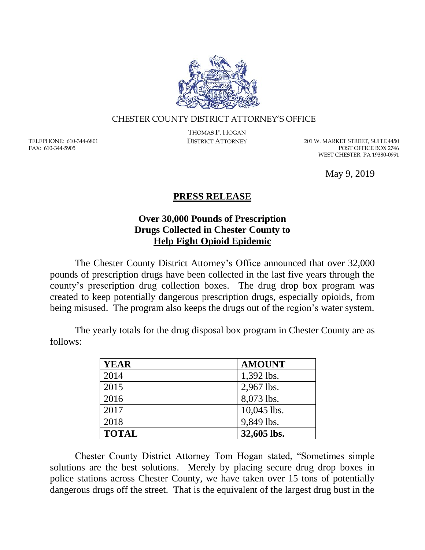

## CHESTER COUNTY DISTRICT ATTORNEY'S OFFICE

TELEPHONE: 610-344-6801 FAX: 610-344-5905

THOMAS P. HOGAN

DISTRICT ATTORNEY 201 W. MARKET STREET, SUITE 4450 POST OFFICE BOX 2746 WEST CHESTER, PA 19380-0991

May 9, 2019

## **PRESS RELEASE**

## **Over 30,000 Pounds of Prescription Drugs Collected in Chester County to Help Fight Opioid Epidemic**

The Chester County District Attorney's Office announced that over 32,000 pounds of prescription drugs have been collected in the last five years through the county's prescription drug collection boxes. The drug drop box program was created to keep potentially dangerous prescription drugs, especially opioids, from being misused. The program also keeps the drugs out of the region's water system.

The yearly totals for the drug disposal box program in Chester County are as follows:

| <b>YEAR</b>  | <b>AMOUNT</b> |
|--------------|---------------|
| 2014         | 1,392 lbs.    |
| 2015         | 2,967 lbs.    |
| 2016         | 8,073 lbs.    |
| 2017         | 10,045 lbs.   |
| 2018         | 9,849 lbs.    |
| <b>TOTAL</b> | 32,605 lbs.   |

Chester County District Attorney Tom Hogan stated, "Sometimes simple solutions are the best solutions. Merely by placing secure drug drop boxes in police stations across Chester County, we have taken over 15 tons of potentially dangerous drugs off the street. That is the equivalent of the largest drug bust in the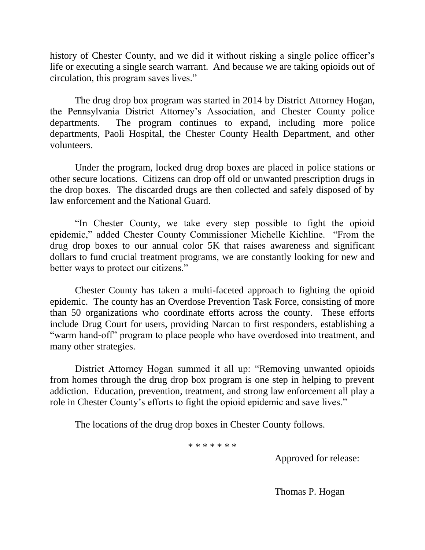history of Chester County, and we did it without risking a single police officer's life or executing a single search warrant. And because we are taking opioids out of circulation, this program saves lives."

The drug drop box program was started in 2014 by District Attorney Hogan, the Pennsylvania District Attorney's Association, and Chester County police departments. The program continues to expand, including more police departments, Paoli Hospital, the Chester County Health Department, and other volunteers.

Under the program, locked drug drop boxes are placed in police stations or other secure locations. Citizens can drop off old or unwanted prescription drugs in the drop boxes. The discarded drugs are then collected and safely disposed of by law enforcement and the National Guard.

"In Chester County, we take every step possible to fight the opioid epidemic," added Chester County Commissioner Michelle Kichline. "From the drug drop boxes to our annual color 5K that raises awareness and significant dollars to fund crucial treatment programs, we are constantly looking for new and better ways to protect our citizens."

Chester County has taken a multi-faceted approach to fighting the opioid epidemic. The county has an Overdose Prevention Task Force, consisting of more than 50 organizations who coordinate efforts across the county. These efforts include Drug Court for users, providing Narcan to first responders, establishing a "warm hand-off" program to place people who have overdosed into treatment, and many other strategies.

District Attorney Hogan summed it all up: "Removing unwanted opioids from homes through the drug drop box program is one step in helping to prevent addiction. Education, prevention, treatment, and strong law enforcement all play a role in Chester County's efforts to fight the opioid epidemic and save lives."

The locations of the drug drop boxes in Chester County follows.

\* \* \* \* \* \* \*

Approved for release:

Thomas P. Hogan